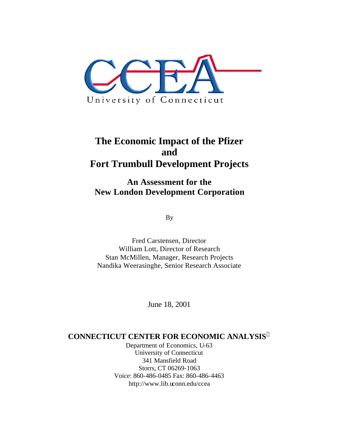

# **The Economic Impact of the Pfizer and Fort Trumbull Development Projects**

**An Assessment for the New London Development Corporation**

By

Fred Carstensen, Director William Lott, Director of Research Stan McMillen, Manager, Research Projects Nandika Weerasinghe, Senior Research Associate

June 18, 2001

### **CONNECTICUT CENTER FOR ECONOMIC ANALYSIS<sup>ã</sup>**

Department of Economics, U-63 University of Connecticut 341 Mansfield Road Storrs, CT 06269-1063 Voice: 860-486-0485 Fax: 860-486-4463 http://www.lib.uconn.edu/ccea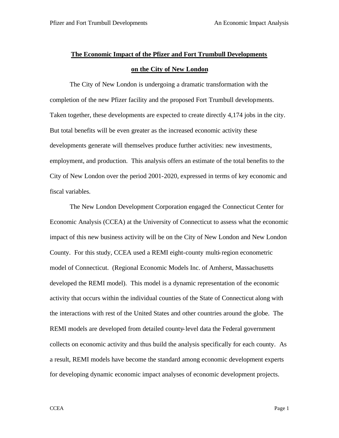## **The Economic Impact of the Pfizer and Fort Trumbull Developments on the City of New London**

The City of New London is undergoing a dramatic transformation with the completion of the new Pfizer facility and the proposed Fort Trumbull developments. Taken together, these developments are expected to create directly 4,174 jobs in the city. But total benefits will be even greater as the increased economic activity these developments generate will themselves produce further activities: new investments, employment, and production. This analysis offers an estimate of the total benefits to the City of New London over the period 2001-2020, expressed in terms of key economic and fiscal variables.

The New London Development Corporation engaged the Connecticut Center for Economic Analysis (CCEA) at the University of Connecticut to assess what the economic impact of this new business activity will be on the City of New London and New London County. For this study, CCEA used a REMI eight-county multi-region econometric model of Connecticut. (Regional Economic Models Inc. of Amherst, Massachusetts developed the REMI model). This model is a dynamic representation of the economic activity that occurs within the individual counties of the State of Connecticut along with the interactions with rest of the United States and other countries around the globe. The REMI models are developed from detailed county-level data the Federal government collects on economic activity and thus build the analysis specifically for each county. As a result, REMI models have become the standard among economic development experts for developing dynamic economic impact analyses of economic development projects.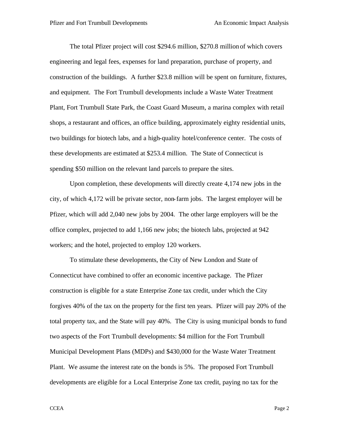The total Pfizer project will cost \$294.6 million, \$270.8 million of which covers engineering and legal fees, expenses for land preparation, purchase of property, and construction of the buildings. A further \$23.8 million will be spent on furniture, fixtures, and equipment. The Fort Trumbull developments include a Waste Water Treatment Plant, Fort Trumbull State Park, the Coast Guard Museum, a marina complex with retail shops, a restaurant and offices, an office building, approximately eighty residential units, two buildings for biotech labs, and a high-quality hotel/conference center. The costs of these developments are estimated at \$253.4 million. The State of Connecticut is spending \$50 million on the relevant land parcels to prepare the sites.

Upon completion, these developments will directly create 4,174 new jobs in the city, of which 4,172 will be private sector, non-farm jobs. The largest employer will be Pfizer, which will add 2,040 new jobs by 2004. The other large employers will be the office complex, projected to add 1,166 new jobs; the biotech labs, projected at 942 workers; and the hotel, projected to employ 120 workers.

To stimulate these developments, the City of New London and State of Connecticut have combined to offer an economic incentive package. The Pfizer construction is eligible for a state Enterprise Zone tax credit, under which the City forgives 40% of the tax on the property for the first ten years. Pfizer will pay 20% of the total property tax, and the State will pay 40%. The City is using municipal bonds to fund two aspects of the Fort Trumbull developments: \$4 million for the Fort Trumbull Municipal Development Plans (MDPs) and \$430,000 for the Waste Water Treatment Plant. We assume the interest rate on the bonds is 5%. The proposed Fort Trumbull developments are eligible for a Local Enterprise Zone tax credit, paying no tax for the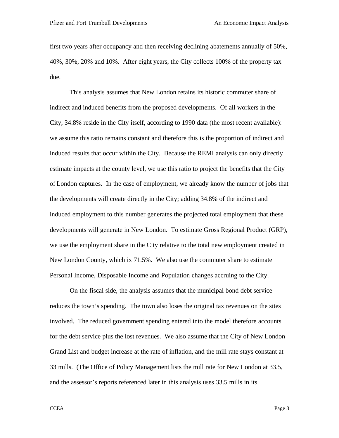first two years after occupancy and then receiving declining abatements annually of 50%, 40%, 30%, 20% and 10%. After eight years, the City collects 100% of the property tax due.

This analysis assumes that New London retains its historic commuter share of indirect and induced benefits from the proposed developments. Of all workers in the City, 34.8% reside in the City itself, according to 1990 data (the most recent available): we assume this ratio remains constant and therefore this is the proportion of indirect and induced results that occur within the City. Because the REMI analysis can only directly estimate impacts at the county level, we use this ratio to project the benefits that the City of London captures. In the case of employment, we already know the number of jobs that the developments will create directly in the City; adding 34.8% of the indirect and induced employment to this number generates the projected total employment that these developments will generate in New London. To estimate Gross Regional Product (GRP), we use the employment share in the City relative to the total new employment created in New London County, which ix 71.5%. We also use the commuter share to estimate Personal Income, Disposable Income and Population changes accruing to the City.

On the fiscal side, the analysis assumes that the municipal bond debt service reduces the town's spending. The town also loses the original tax revenues on the sites involved. The reduced government spending entered into the model therefore accounts for the debt service plus the lost revenues. We also assume that the City of New London Grand List and budget increase at the rate of inflation, and the mill rate stays constant at 33 mills. (The Office of Policy Management lists the mill rate for New London at 33.5, and the assessor's reports referenced later in this analysis uses 33.5 mills in its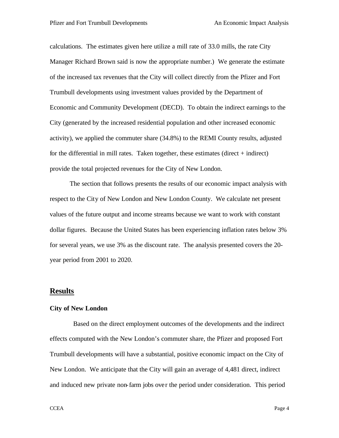calculations. The estimates given here utilize a mill rate of 33.0 mills, the rate City Manager Richard Brown said is now the appropriate number.) We generate the estimate of the increased tax revenues that the City will collect directly from the Pfizer and Fort Trumbull developments using investment values provided by the Department of Economic and Community Development (DECD). To obtain the indirect earnings to the City (generated by the increased residential population and other increased economic activity), we applied the commuter share (34.8%) to the REMI County results, adjusted for the differential in mill rates. Taken together, these estimates (direct  $+$  indirect) provide the total projected revenues for the City of New London.

The section that follows presents the results of our economic impact analysis with respect to the City of New London and New London County. We calculate net present values of the future output and income streams because we want to work with constant dollar figures. Because the United States has been experiencing inflation rates below 3% for several years, we use 3% as the discount rate. The analysis presented covers the 20 year period from 2001 to 2020.

#### **Results**

#### **City of New London**

 Based on the direct employment outcomes of the developments and the indirect effects computed with the New London's commuter share, the Pfizer and proposed Fort Trumbull developments will have a substantial, positive economic impact on the City of New London. We anticipate that the City will gain an average of 4,481 direct, indirect and induced new private non-farm jobs over the period under consideration. This period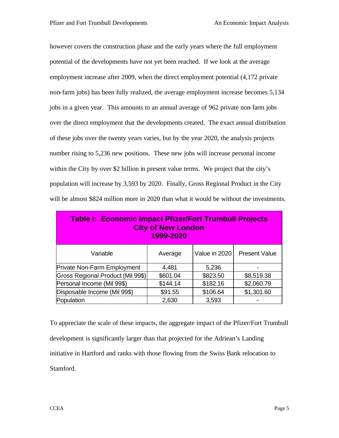however covers the construction phase and the early years where the full employment potential of the developments have not yet been reached. If we look at the average employment increase after 2009, when the direct employment potential (4,172 private non-farm jobs) has been fully realized, the average employment increase becomes 5,134 jobs in a given year. This amounts to an annual average of 962 private non-farm jobs over the direct employment that the developments created. The exact annual distribution of these jobs over the twenty years varies, but by the year 2020, the analysis projects number rising to 5,236 new positions. These new jobs will increase personal income within the City by over \$2 billion in present value terms. We project that the city's population will increase by 3,593 by 2020. Finally, Gross Regional Product in the City will be almost \$824 million more in 2020 than what it would be without the investments.

| <b>Table I: Economic Impact Pfizer/Fort Trumbull Projects</b><br><b>City of New London</b><br>1999-2020 |          |               |                      |
|---------------------------------------------------------------------------------------------------------|----------|---------------|----------------------|
| Variable                                                                                                | Average  | Value in 2020 | <b>Present Value</b> |
| <b>Private Non-Farm Employment</b>                                                                      | 4,481    | 5,236         |                      |
| Gross Regional Product (Mil 99\$)                                                                       | \$601.04 | \$823.50      | \$8,519.38           |
| Personal Income (Mil 99\$)                                                                              | \$144.14 | \$182.16      | \$2,060.79           |
| Disposable Income (Mil 99\$)                                                                            | \$91.55  | \$106.64      | \$1,301.60           |
| Population                                                                                              | 2,630    | 3,593         |                      |

To appreciate the scale of these impacts, the aggregate impact of the Pfizer/Fort Trumbull development is significantly larger than that projected for the Adriean's Landing initiative in Hartford and ranks with those flowing from the Swiss Bank relocation to Stamford.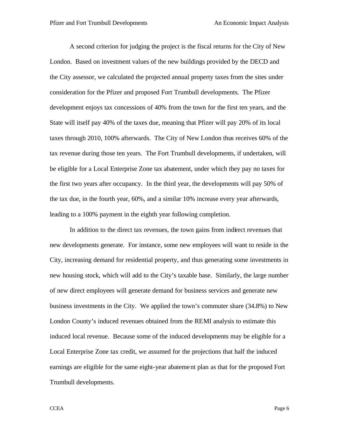A second criterion for judging the project is the fiscal returns for the City of New London. Based on investment values of the new buildings provided by the DECD and the City assessor, we calculated the projected annual property taxes from the sites under consideration for the Pfizer and proposed Fort Trumbull developments. The Pfizer development enjoys tax concessions of 40% from the town for the first ten years, and the State will itself pay 40% of the taxes due, meaning that Pfizer will pay 20% of its local taxes through 2010, 100% afterwards. The City of New London thus receives 60% of the tax revenue during those ten years. The Fort Trumbull developments, if undertaken, will be eligible for a Local Enterprise Zone tax abatement, under which they pay no taxes for the first two years after occupancy. In the third year, the developments will pay 50% of the tax due, in the fourth year, 60%, and a similar 10% increase every year afterwards, leading to a 100% payment in the eighth year following completion.

In addition to the direct tax revenues, the town gains from indirect revenues that new developments generate. For instance, some new employees will want to reside in the City, increasing demand for residential property, and thus generating some investments in new housing stock, which will add to the City's taxable base. Similarly, the large number of new direct employees will generate demand for business services and generate new business investments in the City. We applied the town's commuter share (34.8%) to New London County's induced revenues obtained from the REMI analysis to estimate this induced local revenue. Because some of the induced developments may be eligible for a Local Enterprise Zone tax credit, we assumed for the projections that half the induced earnings are eligible for the same eight-year abatement plan as that for the proposed Fort Trumbull developments.

CCEA Page 6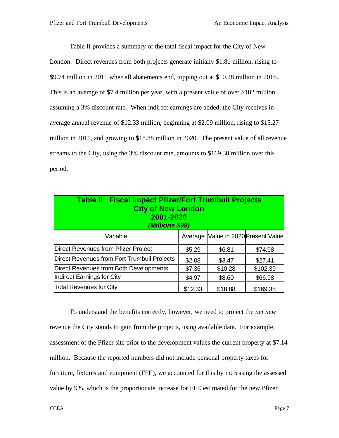Table II provides a summary of the total fiscal impact for the City of New London. Direct revenues from both projects generate initially \$1.81 million, rising to \$9.74 million in 2011 when all abatements end, topping out at \$10.28 million in 2016. This is an average of \$7.4 million per year, with a present value of over \$102 million, assuming a 3% discount rate. When indirect earnings are added, the City receives in average annual revenue of \$12.33 million, beginning at \$2.09 million, rising to \$15.27 million in 2011, and growing to \$18.88 million in 2020. The present value of all revenue streams to the City, using the 3% discount rate, amounts to \$169.38 million over this period.

| <b>Table II: Fiscal Impact Pfizer/Fort Trumbull Projects</b><br><b>City of New London</b><br>2001-2020<br>(Millions \$99) |         |         |                                     |  |
|---------------------------------------------------------------------------------------------------------------------------|---------|---------|-------------------------------------|--|
| Variable                                                                                                                  |         |         | Average Value in 2020 Present Value |  |
| Direct Revenues from Pfizer Project                                                                                       | \$5.29  | \$6.81  | \$74.98                             |  |
| Direct Revenues from Fort Trumbull Projects                                                                               | \$2.08  | \$3.47  | \$27.41                             |  |
| Direct Revenues from Both Developments                                                                                    | \$7.36  | \$10.28 | \$102.39                            |  |
| Indirect Earnings for City                                                                                                | \$4.97  | \$8.60  | \$66.98                             |  |
| <b>Total Revenues for City</b>                                                                                            | \$12.33 | \$18.88 | \$169.38                            |  |

To understand the benefits correctly, however, we need to project the *net new* revenue the City stands to gain from the projects, using available data. For example, assessment of the Pfizer site prior to the development values the current property at \$7.14 million. Because the reported numbers did not include personal property taxes for furniture, fixtures and equipment (FFE), we accounted for this by increasing the assessed value by 9%, which is the proportionate increase for FFE estimated for the new Pfize r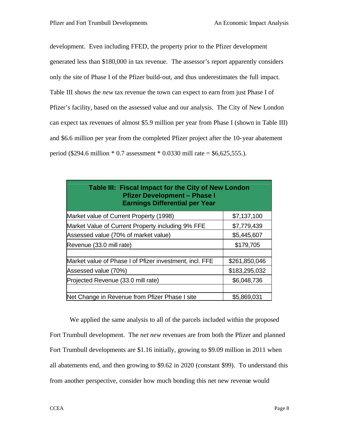development. Even including FFED, the property prior to the Pfizer development generated less than \$180,000 in tax revenue. The assessor's report apparently considers only the site of Phase I of the Pfizer build-out, and thus underestimates the full impact. Table III shows the *new* tax revenue the town can expect to earn from just Phase I of Pfizer's facility, based on the assessed value and our analysis. The City of New London can expect tax revenues of almost \$5.9 million per year from Phase I (shown in Table III) and \$6.6 million per year from the completed Pfizer project after the 10-year abatement period (\$294.6 million  $* 0.7$  assessment  $* 0.0330$  mill rate = \$6,625,555.).

| Table III: Fiscal Impact for the City of New London<br><b>Pfizer Development - Phase I</b><br><b>Earnings Differential per Year</b> |               |  |  |
|-------------------------------------------------------------------------------------------------------------------------------------|---------------|--|--|
| Market value of Current Property (1998)                                                                                             | \$7,137,100   |  |  |
| Market Value of Current Property including 9% FFE                                                                                   | \$7,779,439   |  |  |
| Assessed value (70% of market value)                                                                                                | \$5,445,607   |  |  |
| Revenue (33.0 mill rate)                                                                                                            | \$179,705     |  |  |
| Market value of Phase I of Pfizer investment, incl. FFE                                                                             | \$261,850,046 |  |  |
| Assessed value (70%)                                                                                                                | \$183,295,032 |  |  |
| Projected Revenue (33.0 mill rate)                                                                                                  | \$6,048,736   |  |  |
| Net Change in Revenue from Pfizer Phase I site                                                                                      | \$5,869,031   |  |  |

We applied the same analysis to all of the parcels included within the proposed Fort Trumbull development. The *net new* revenues are from both the Pfizer and planned Fort Trumbull developments are \$1.16 initially, growing to \$9.09 million in 2011 when all abatements end, and then growing to \$9.62 in 2020 (constant \$99). To understand this from another perspective, consider how much bonding this net new revenue would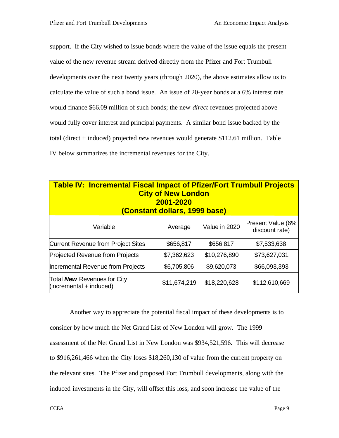support. If the City wished to issue bonds where the value of the issue equals the present value of the new revenue stream derived directly from the Pfizer and Fort Trumbull developments over the next twenty years (through 2020), the above estimates allow us to calculate the value of such a bond issue. An issue of 20-year bonds at a 6% interest rate would finance \$66.09 million of such bonds; the new *direct* revenues projected above would fully cover interest and principal payments. A similar bond issue backed by the total (direct + induced) projected *new* revenues would generate \$112.61 million. Table IV below summarizes the incremental revenues for the City.

| <b>Table IV: Incremental Fiscal Impact of Pfizer/Fort Trumbull Projects</b><br><b>City of New London</b><br>2001-2020<br>(Constant dollars, 1999 base) |              |               |                                     |  |
|--------------------------------------------------------------------------------------------------------------------------------------------------------|--------------|---------------|-------------------------------------|--|
| Variable                                                                                                                                               | Average      | Value in 2020 | Present Value (6%<br>discount rate) |  |
| <b>Current Revenue from Project Sites</b>                                                                                                              | \$656,817    | \$656,817     | \$7,533,638                         |  |
| <b>Projected Revenue from Projects</b>                                                                                                                 | \$7,362,623  | \$10,276,890  | \$73,627,031                        |  |
| Incremental Revenue from Projects                                                                                                                      | \$6,705,806  | \$9,620,073   | \$66,093,393                        |  |
| Total New Revenues for City<br>$(incremental + induced)$                                                                                               | \$11,674,219 | \$18,220,628  | \$112,610,669                       |  |

Another way to appreciate the potential fiscal impact of these developments is to consider by how much the Net Grand List of New London will grow. The 1999 assessment of the Net Grand List in New London was \$934,521,596. This will decrease to \$916,261,466 when the City loses \$18,260,130 of value from the current property on the relevant sites. The Pfizer and proposed Fort Trumbull developments, along with the induced investments in the City, will offset this loss, and soon increase the value of the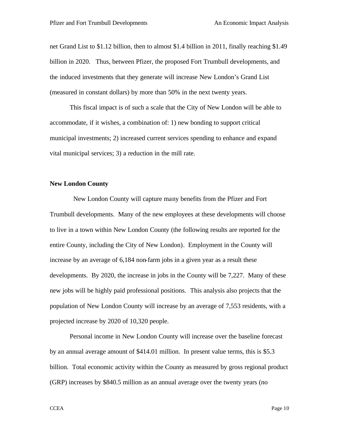net Grand List to \$1.12 billion, then to almost \$1.4 billion in 2011, finally reaching \$1.49 billion in 2020. Thus, between Pfizer, the proposed Fort Trumbull developments, and the induced investments that they generate will increase New London's Grand List (measured in constant dollars) by more than 50% in the next twenty years.

This fiscal impact is of such a scale that the City of New London will be able to accommodate, if it wishes, a combination of: 1) new bonding to support critical municipal investments; 2) increased current services spending to enhance and expand vital municipal services; 3) a reduction in the mill rate.

#### **New London County**

 New London County will capture many benefits from the Pfizer and Fort Trumbull developments. Many of the new employees at these developments will choose to live in a town within New London County (the following results are reported for the entire County, including the City of New London). Employment in the County will increase by an average of 6,184 non-farm jobs in a given year as a result these developments. By 2020, the increase in jobs in the County will be 7,227. Many of these new jobs will be highly paid professional positions. This analysis also projects that the population of New London County will increase by an average of 7,553 residents, with a projected increase by 2020 of 10,320 people.

Personal income in New London County will increase over the baseline forecast by an annual average amount of \$414.01 million. In present value terms, this is \$5.3 billion. Total economic activity within the County as measured by gross regional product (GRP) increases by \$840.5 million as an annual average over the twenty years (no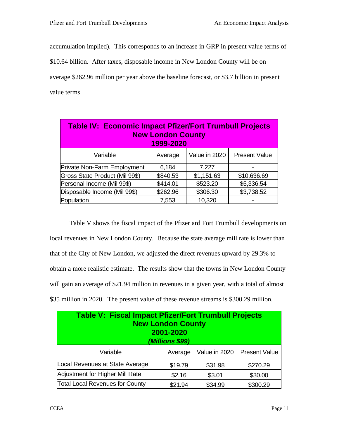accumulation implied). This corresponds to an increase in GRP in present value terms of

\$10.64 billion. After taxes, disposable income in New London County will be on

average \$262.96 million per year above the baseline forecast, or \$3.7 billion in present value terms.

| <b>Table IV: Economic Impact Pfizer/Fort Trumbull Projects</b><br><b>New London County</b><br>1999-2020 |          |               |                      |
|---------------------------------------------------------------------------------------------------------|----------|---------------|----------------------|
| Variable                                                                                                | Average  | Value in 2020 | <b>Present Value</b> |
| Private Non-Farm Employment                                                                             | 6,184    | 7,227         |                      |
| Gross State Product (Mil 99\$)                                                                          | \$840.53 | \$1,151.63    | \$10,636.69          |
| Personal Income (Mil 99\$)                                                                              | \$414.01 | \$523.20      | \$5,336.54           |
| Disposable Income (Mil 99\$)                                                                            | \$262.96 | \$306.30      | \$3,738.52           |
| Population                                                                                              | 7,553    | 10,320        |                      |

Table V shows the fiscal impact of the Pfizer and Fort Trumbull developments on local revenues in New London County. Because the state average mill rate is lower than that of the City of New London, we adjusted the direct revenues upward by 29.3% to obtain a more realistic estimate. The results show that the towns in New London County will gain an average of \$21.94 million in revenues in a given year, with a total of almost \$35 million in 2020. The present value of these revenue streams is \$300.29 million.

| Table V: Fiscal Impact Pfizer/Fort Trumbull Projects<br><b>New London County</b><br>2001-2020<br>(Millions \$99) |         |               |                      |  |
|------------------------------------------------------------------------------------------------------------------|---------|---------------|----------------------|--|
| Variable                                                                                                         | Average | Value in 2020 | <b>Present Value</b> |  |
| Local Revenues at State Average                                                                                  | \$19.79 | \$31.98       | \$270.29             |  |
| Adjustment for Higher Mill Rate                                                                                  | \$2.16  | \$3.01        | \$30.00              |  |
| <b>Total Local Revenues for County</b>                                                                           | \$21.94 | \$34.99       | \$300.29             |  |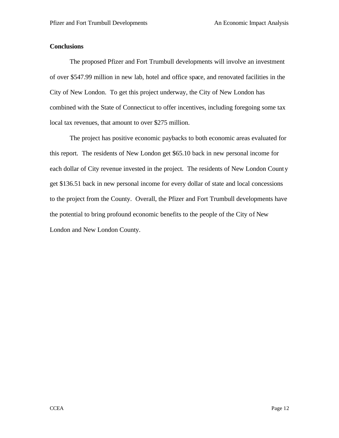#### **Conclusions**

The proposed Pfizer and Fort Trumbull developments will involve an investment of over \$547.99 million in new lab, hotel and office space, and renovated facilities in the City of New London. To get this project underway, the City of New London has combined with the State of Connecticut to offer incentives, including foregoing some tax local tax revenues, that amount to over \$275 million.

The project has positive economic paybacks to both economic areas evaluated for this report. The residents of New London get \$65.10 back in new personal income for each dollar of City revenue invested in the project. The residents of New London County get \$136.51 back in new personal income for every dollar of state and local concessions to the project from the County. Overall, the Pfizer and Fort Trumbull developments have the potential to bring profound economic benefits to the people of the City of New London and New London County.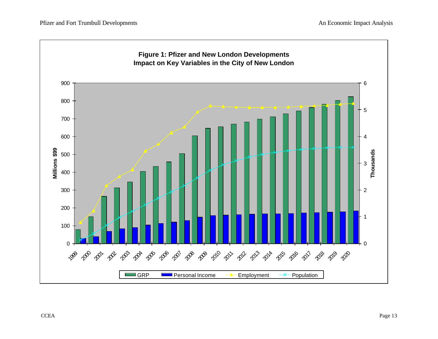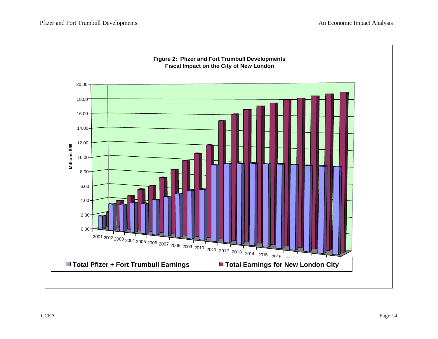